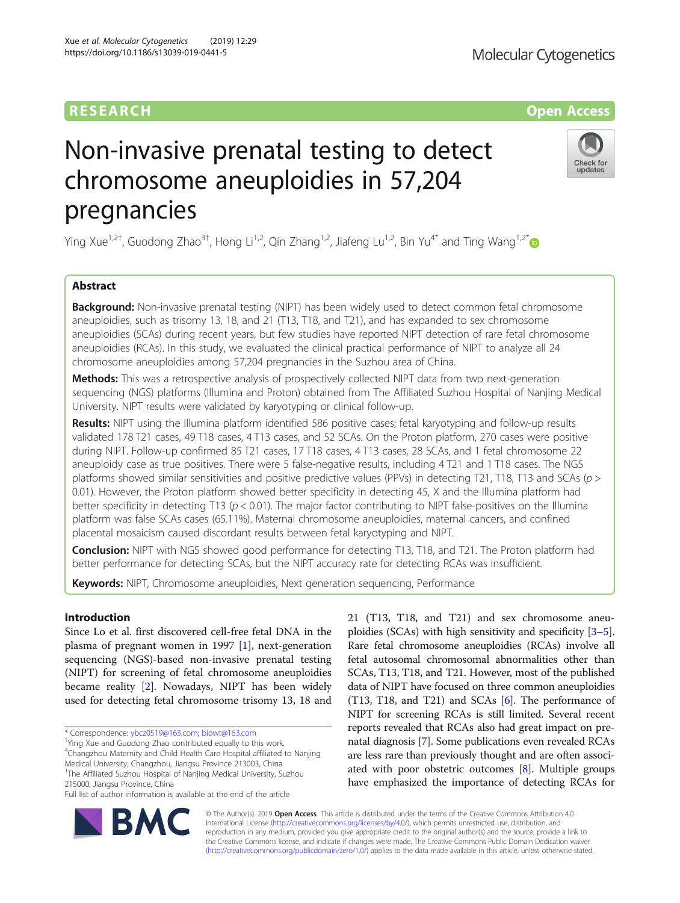# **RESEARCH CHINESEARCH CHINESEARCH CHINESEARCH CHINESE**

# Non-invasive prenatal testing to detect chromosome aneuploidies in 57,204 pregnancies

Ying Xue<sup>1,2†</sup>, Guodong Zhao<sup>3†</sup>, Hong Li<sup>1,2</sup>, Qin Zhang<sup>1,2</sup>, Jiafeng Lu<sup>1,2</sup>, Bin Yu<sup>4\*</sup> and Ting Wang<sup>1,2\*</sup>

# Abstract

**Background:** Non-invasive prenatal testing (NIPT) has been widely used to detect common fetal chromosome aneuploidies, such as trisomy 13, 18, and 21 (T13, T18, and T21), and has expanded to sex chromosome aneuploidies (SCAs) during recent years, but few studies have reported NIPT detection of rare fetal chromosome aneuploidies (RCAs). In this study, we evaluated the clinical practical performance of NIPT to analyze all 24 chromosome aneuploidies among 57,204 pregnancies in the Suzhou area of China.

**Methods:** This was a retrospective analysis of prospectively collected NIPT data from two next-generation sequencing (NGS) platforms (Illumina and Proton) obtained from The Affiliated Suzhou Hospital of Nanjing Medical University. NIPT results were validated by karyotyping or clinical follow-up.

Results: NIPT using the Illumina platform identified 586 positive cases; fetal karyotyping and follow-up results validated 178 T21 cases, 49 T18 cases, 4 T13 cases, and 52 SCAs. On the Proton platform, 270 cases were positive during NIPT. Follow-up confirmed 85 T21 cases, 17 T18 cases, 4 T13 cases, 28 SCAs, and 1 fetal chromosome 22 aneuploidy case as true positives. There were 5 false-negative results, including 4 T21 and 1 T18 cases. The NGS platforms showed similar sensitivities and positive predictive values (PPVs) in detecting T21, T18, T13 and SCAs ( $p >$ 0.01). However, the Proton platform showed better specificity in detecting 45, X and the Illumina platform had better specificity in detecting T13 ( $p < 0.01$ ). The major factor contributing to NIPT false-positives on the Illumina platform was false SCAs cases (65.11%). Maternal chromosome aneuploidies, maternal cancers, and confined placental mosaicism caused discordant results between fetal karyotyping and NIPT.

**Conclusion:** NIPT with NGS showed good performance for detecting T13, T18, and T21. The Proton platform had better performance for detecting SCAs, but the NIPT accuracy rate for detecting RCAs was insufficient.

Keywords: NIPT, Chromosome aneuploidies, Next generation sequencing, Performance

# Introduction

Since Lo et al. first discovered cell-free fetal DNA in the plasma of pregnant women in 1997 [\[1](#page-5-0)], next-generation sequencing (NGS)-based non-invasive prenatal testing (NIPT) for screening of fetal chromosome aneuploidies became reality [\[2\]](#page-5-0). Nowadays, NIPT has been widely used for detecting fetal chromosome trisomy 13, 18 and

\* Correspondence: [ybcz0519@163.com](mailto:ybcz0519@163.com); [biowt@163.com](mailto:biowt@163.com) †

4 Changzhou Maternity and Child Health Care Hospital affiliated to Nanjing Medical University, Changzhou, Jiangsu Province 213003, China 1 The Affiliated Suzhou Hospital of Nanjing Medical University, Suzhou 215000, Jiangsu Province, China

Full list of author information is available at the end of the article

SCAs, T13, T18, and T21. However, most of the published data of NIPT have focused on three common aneuploidies (T13, T18, and T21) and SCAs  $[6]$ . The performance of NIPT for screening RCAs is still limited. Several recent reports revealed that RCAs also had great impact on prenatal diagnosis [\[7](#page-5-0)]. Some publications even revealed RCAs are less rare than previously thought and are often associated with poor obstetric outcomes [[8\]](#page-5-0). Multiple groups have emphasized the importance of detecting RCAs for © The Author(s). 2019 Open Access This article is distributed under the terms of the Creative Commons Attribution 4.0

21 (T13, T18, and T21) and sex chromosome aneuploidies (SCAs) with high sensitivity and specificity [[3](#page-5-0)–[5](#page-5-0)]. Rare fetal chromosome aneuploidies (RCAs) involve all fetal autosomal chromosomal abnormalities other than

International License [\(http://creativecommons.org/licenses/by/4.0/](http://creativecommons.org/licenses/by/4.0/)), which permits unrestricted use, distribution, and reproduction in any medium, provided you give appropriate credit to the original author(s) and the source, provide a link to the Creative Commons license, and indicate if changes were made. The Creative Commons Public Domain Dedication waiver [\(http://creativecommons.org/publicdomain/zero/1.0/](http://creativecommons.org/publicdomain/zero/1.0/)) applies to the data made available in this article, unless otherwise stated.







<sup>&</sup>lt;sup>+</sup>Ying Xue and Guodong Zhao contributed equally to this work.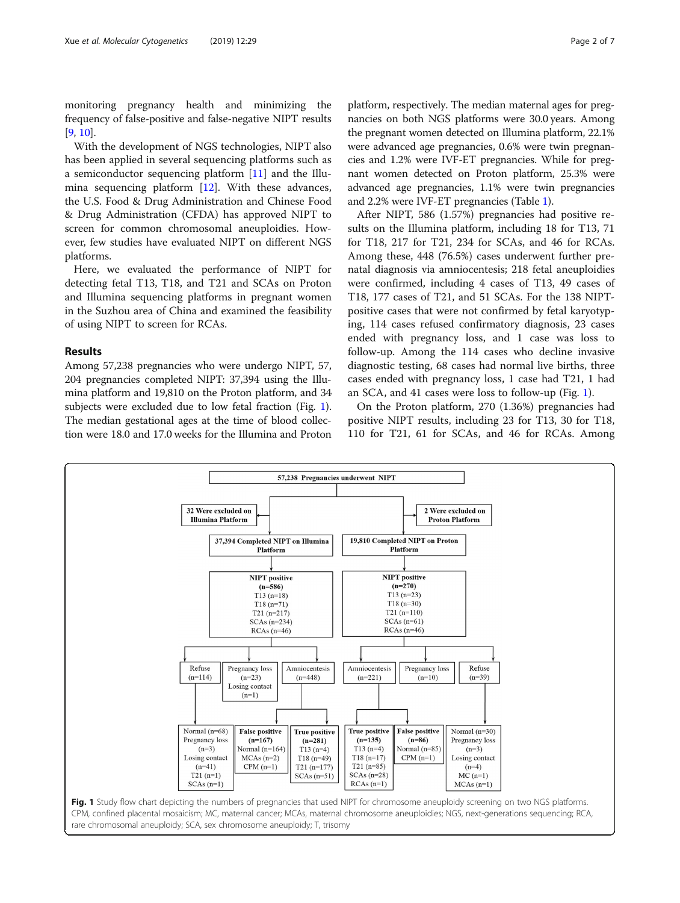<span id="page-1-0"></span>monitoring pregnancy health and minimizing the frequency of false-positive and false-negative NIPT results [[9,](#page-5-0) [10\]](#page-6-0).

With the development of NGS technologies, NIPT also has been applied in several sequencing platforms such as a semiconductor sequencing platform [\[11\]](#page-6-0) and the Illumina sequencing platform [[12\]](#page-6-0). With these advances, the U.S. Food & Drug Administration and Chinese Food & Drug Administration (CFDA) has approved NIPT to screen for common chromosomal aneuploidies. However, few studies have evaluated NIPT on different NGS platforms.

Here, we evaluated the performance of NIPT for detecting fetal T13, T18, and T21 and SCAs on Proton and Illumina sequencing platforms in pregnant women in the Suzhou area of China and examined the feasibility of using NIPT to screen for RCAs.

#### Results

Among 57,238 pregnancies who were undergo NIPT, 57, 204 pregnancies completed NIPT: 37,394 using the Illumina platform and 19,810 on the Proton platform, and 34 subjects were excluded due to low fetal fraction (Fig. 1). The median gestational ages at the time of blood collection were 18.0 and 17.0 weeks for the Illumina and Proton platform, respectively. The median maternal ages for pregnancies on both NGS platforms were 30.0 years. Among the pregnant women detected on Illumina platform, 22.1% were advanced age pregnancies, 0.6% were twin pregnancies and 1.2% were IVF-ET pregnancies. While for pregnant women detected on Proton platform, 25.3% were advanced age pregnancies, 1.1% were twin pregnancies and 2.2% were IVF-ET pregnancies (Table [1](#page-2-0)).

After NIPT, 586 (1.57%) pregnancies had positive results on the Illumina platform, including 18 for T13, 71 for T18, 217 for T21, 234 for SCAs, and 46 for RCAs. Among these, 448 (76.5%) cases underwent further prenatal diagnosis via amniocentesis; 218 fetal aneuploidies were confirmed, including 4 cases of T13, 49 cases of T18, 177 cases of T21, and 51 SCAs. For the 138 NIPTpositive cases that were not confirmed by fetal karyotyping, 114 cases refused confirmatory diagnosis, 23 cases ended with pregnancy loss, and 1 case was loss to follow-up. Among the 114 cases who decline invasive diagnostic testing, 68 cases had normal live births, three cases ended with pregnancy loss, 1 case had T21, 1 had an SCA, and 41 cases were loss to follow-up (Fig. 1).

On the Proton platform, 270 (1.36%) pregnancies had positive NIPT results, including 23 for T13, 30 for T18, 110 for T21, 61 for SCAs, and 46 for RCAs. Among

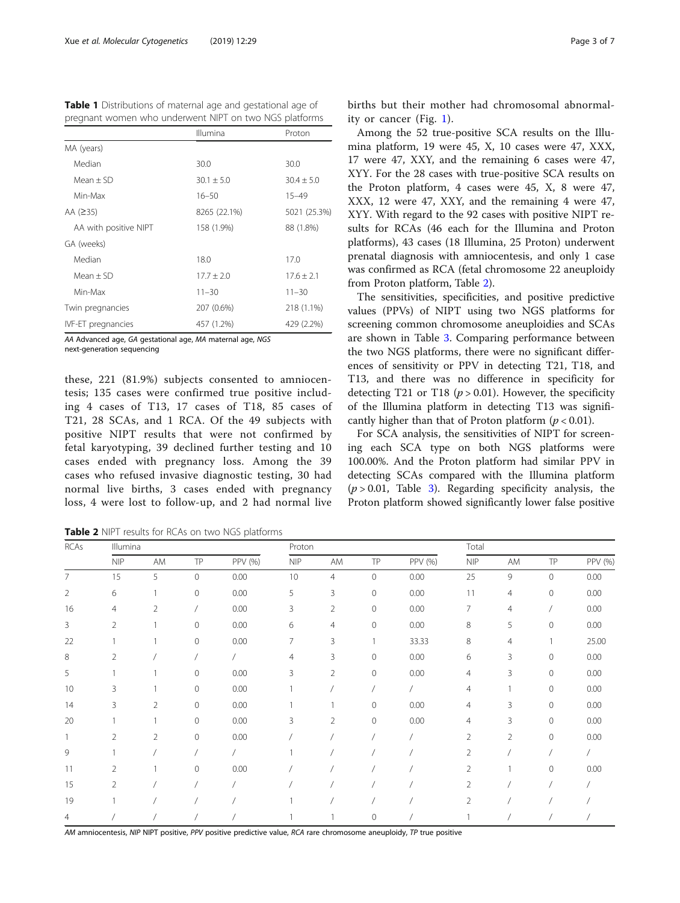<span id="page-2-0"></span>

| <b>Table 1</b> Distributions of maternal age and gestational age of |  |
|---------------------------------------------------------------------|--|
| pregnant women who underwent NIPT on two NGS platforms              |  |

|                           | Illumina       | Proton         |  |
|---------------------------|----------------|----------------|--|
| MA (years)                |                |                |  |
| Median                    | 30.0           | 30.0           |  |
| $Mean + SD$               | $30.1 \pm 5.0$ | $30.4 \pm 5.0$ |  |
| Min-Max                   | $16 - 50$      | $15 - 49$      |  |
| AA $(235)$                | 8265 (22.1%)   | 5021 (25.3%)   |  |
| AA with positive NIPT     | 158 (1.9%)     | 88 (1.8%)      |  |
| GA (weeks)                |                |                |  |
| Median                    | 18.0           | 17.0           |  |
| $Mean + SD$               | $17.7 + 2.0$   | $17.6 + 2.1$   |  |
| Min-Max                   | $11 - 30$      | $11 - 30$      |  |
| Twin pregnancies          | 207 (0.6%)     | 218 (1.1%)     |  |
| <b>IVF-ET</b> pregnancies | 457 (1.2%)     | 429 (2.2%)     |  |

AA Advanced age, GA gestational age, MA maternal age, NGS next-generation sequencing

these, 221 (81.9%) subjects consented to amniocentesis; 135 cases were confirmed true positive including 4 cases of T13, 17 cases of T18, 85 cases of T21, 28 SCAs, and 1 RCA. Of the 49 subjects with positive NIPT results that were not confirmed by fetal karyotyping, 39 declined further testing and 10 cases ended with pregnancy loss. Among the 39 cases who refused invasive diagnostic testing, 30 had normal live births, 3 cases ended with pregnancy loss, 4 were lost to follow-up, and 2 had normal live

Table 2 NIPT results for RCAs on two NGS platforms

births but their mother had chromosomal abnormality or cancer (Fig. [1\)](#page-1-0).

Among the 52 true-positive SCA results on the Illumina platform, 19 were 45, X, 10 cases were 47, XXX, 17 were 47, XXY, and the remaining 6 cases were 47, XYY. For the 28 cases with true-positive SCA results on the Proton platform, 4 cases were 45, X, 8 were 47, XXX, 12 were 47, XXY, and the remaining 4 were 47, XYY. With regard to the 92 cases with positive NIPT results for RCAs (46 each for the Illumina and Proton platforms), 43 cases (18 Illumina, 25 Proton) underwent prenatal diagnosis with amniocentesis, and only 1 case was confirmed as RCA (fetal chromosome 22 aneuploidy from Proton platform, Table 2).

The sensitivities, specificities, and positive predictive values (PPVs) of NIPT using two NGS platforms for screening common chromosome aneuploidies and SCAs are shown in Table [3.](#page-3-0) Comparing performance between the two NGS platforms, there were no significant differences of sensitivity or PPV in detecting T21, T18, and T13, and there was no difference in specificity for detecting T21 or T18 ( $p > 0.01$ ). However, the specificity of the Illumina platform in detecting T13 was significantly higher than that of Proton platform ( $p < 0.01$ ).

For SCA analysis, the sensitivities of NIPT for screening each SCA type on both NGS platforms were 100.00%. And the Proton platform had similar PPV in detecting SCAs compared with the Illumina platform  $(p > 0.01,$  Table [3](#page-3-0)). Regarding specificity analysis, the Proton platform showed significantly lower false positive

| <b>RCAs</b>    | Illumina       |                |                |          | Proton         |                |         |         | Total          |                |                     |         |
|----------------|----------------|----------------|----------------|----------|----------------|----------------|---------|---------|----------------|----------------|---------------------|---------|
|                | <b>NIP</b>     | AM             | TP             | PPV (%)  | NIP            | AM             | TP      | PPV (%) | <b>NIP</b>     | AM             | TP                  | PPV (%) |
| 7              | 15             | 5              | $\mathbf 0$    | 0.00     | 10             | $\overline{4}$ | $\circ$ | 0.00    | 25             | 9              | $\circ$             | 0.00    |
| $\overline{2}$ | 6              | 1              | 0              | 0.00     | 5              | 3              | $\circ$ | 0.00    | 11             | $\overline{4}$ | $\circ$             | 0.00    |
| 16             | 4              | 2              |                | 0.00     | 3              | $\overline{2}$ | $\circ$ | 0.00    | 7              | $\overline{4}$ |                     | 0.00    |
| 3              | $\overline{2}$ |                | 0              | 0.00     | 6              | 4              | 0       | 0.00    | 8              | 5              | $\circ$             | 0.00    |
| 22             |                |                | $\overline{0}$ | 0.00     | 7              | 3              | 1       | 33.33   | 8              | $\overline{4}$ |                     | 25.00   |
| 8              | $\overline{2}$ |                |                |          | $\overline{4}$ | 3              | 0       | 0.00    | 6              | 3              | $\mathsf{O}\xspace$ | 0.00    |
| 5              |                | 1              | 0              | 0.00     | 3              | $\overline{2}$ | 0       | 0.00    | $\overline{4}$ | 3              | $\circ$             | 0.00    |
| 10             | 3              |                | 0              | 0.00     |                |                |         |         | $\overline{4}$ |                | $\circ$             | 0.00    |
| 14             | 3              | $\overline{2}$ | 0              | 0.00     |                |                | 0       | 0.00    | $\overline{4}$ | 3              | $\circ$             | 0.00    |
| 20             |                |                | 0              | $0.00\,$ | 3              | $\overline{2}$ | 0       | 0.00    | 4              | 3              | 0                   | 0.00    |
|                | $\overline{2}$ | 2              | 0              | 0.00     |                |                |         |         | 2              | $\overline{2}$ | $\circ$             | 0.00    |
| 9              |                |                |                |          |                |                |         |         | 2              |                |                     |         |
| 11             | $\overline{2}$ |                | 0              | 0.00     |                |                |         |         | 2              |                | $\circ$             | 0.00    |
| 15             | $\overline{2}$ |                |                |          |                |                |         |         | $\overline{2}$ |                |                     |         |
| 19             |                |                |                |          |                |                |         |         | $\overline{2}$ |                |                     |         |
| 4              |                |                |                |          |                |                | 0       |         |                |                |                     |         |

AM amniocentesis, NIP NIPT positive, PPV positive predictive value, RCA rare chromosome aneuploidy, TP true positive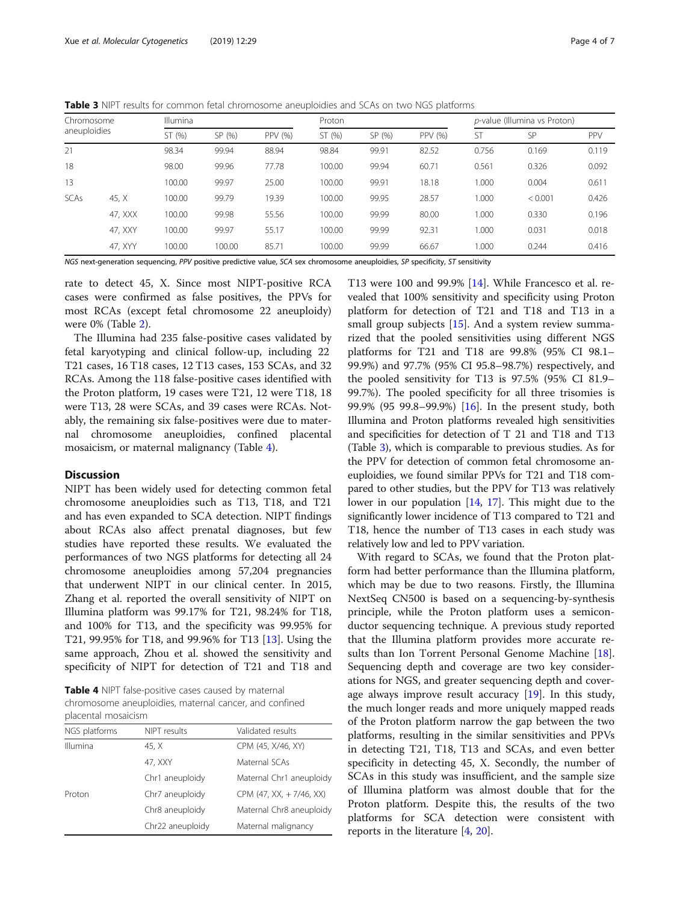<span id="page-3-0"></span>Table 3 NIPT results for common fetal chromosome aneuploidies and SCAs on two NGS platforms

| Chromosome<br>aneuploidies |         | Illumina |        |         | Proton |        |         | <i>p</i> -value (Illumina vs Proton) |         |       |
|----------------------------|---------|----------|--------|---------|--------|--------|---------|--------------------------------------|---------|-------|
|                            |         | ST(%)    | SP (%) | PPV (%) | ST (%) | SP (%) | PPV (%) | <b>ST</b>                            | SP      | PPV   |
| 21                         |         | 98.34    | 99.94  | 88.94   | 98.84  | 99.91  | 82.52   | 0.756                                | 0.169   | 0.119 |
| 18                         |         | 98.00    | 99.96  | 77.78   | 100.00 | 99.94  | 60.71   | 0.561                                | 0.326   | 0.092 |
| 13                         |         | 100.00   | 99.97  | 25.00   | 100.00 | 99.91  | 18.18   | 1.000                                | 0.004   | 0.611 |
| <b>SCAs</b>                | 45, X   | 100.00   | 99.79  | 19.39   | 100.00 | 99.95  | 28.57   | 1.000                                | < 0.001 | 0.426 |
|                            | 47, XXX | 100.00   | 99.98  | 55.56   | 100.00 | 99.99  | 80.00   | 000.1                                | 0.330   | 0.196 |
|                            | 47, XXY | 100.00   | 99.97  | 55.17   | 100.00 | 99.99  | 92.31   | 1.000                                | 0.031   | 0.018 |
|                            | 47, XYY | 100.00   | 100.00 | 85.71   | 100.00 | 99.99  | 66.67   | 1.000                                | 0.244   | 0.416 |

NGS next-generation sequencing, PPV positive predictive value, SCA sex chromosome aneuploidies, SP specificity, ST sensitivity

rate to detect 45, X. Since most NIPT-positive RCA cases were confirmed as false positives, the PPVs for most RCAs (except fetal chromosome 22 aneuploidy) were 0% (Table [2\)](#page-2-0).

The Illumina had 235 false-positive cases validated by fetal karyotyping and clinical follow-up, including 22 T21 cases, 16 T18 cases, 12 T13 cases, 153 SCAs, and 32 RCAs. Among the 118 false-positive cases identified with the Proton platform, 19 cases were T21, 12 were T18, 18 were T13, 28 were SCAs, and 39 cases were RCAs. Notably, the remaining six false-positives were due to maternal chromosome aneuploidies, confined placental mosaicism, or maternal malignancy (Table 4).

#### **Discussion**

NIPT has been widely used for detecting common fetal chromosome aneuploidies such as T13, T18, and T21 and has even expanded to SCA detection. NIPT findings about RCAs also affect prenatal diagnoses, but few studies have reported these results. We evaluated the performances of two NGS platforms for detecting all 24 chromosome aneuploidies among 57,204 pregnancies that underwent NIPT in our clinical center. In 2015, Zhang et al. reported the overall sensitivity of NIPT on Illumina platform was 99.17% for T21, 98.24% for T18, and 100% for T13, and the specificity was 99.95% for T21, 99.95% for T18, and 99.96% for T13 [[13\]](#page-6-0). Using the same approach, Zhou et al. showed the sensitivity and specificity of NIPT for detection of T21 and T18 and

Table 4 NIPT false-positive cases caused by maternal chromosome aneuploidies, maternal cancer, and confined placental mosaicism

| NGS platforms | NIPT results     | Validated results        |
|---------------|------------------|--------------------------|
| Illumina      | 45. X            | CPM (45, X/46, XY)       |
|               | 47, XXY          | Maternal SCAs            |
|               | Chr1 aneuploidy  | Maternal Chr1 aneuploidy |
| Proton        | Chr7 aneuploidy  | CPM (47, XX, +7/46, XX)  |
|               | Chr8 aneuploidy  | Maternal Chr8 aneuploidy |
|               | Chr22 aneuploidy | Maternal malignancy      |

T13 were 100 and 99.9% [\[14](#page-6-0)]. While Francesco et al. revealed that 100% sensitivity and specificity using Proton platform for detection of T21 and T18 and T13 in a small group subjects [\[15](#page-6-0)]. And a system review summarized that the pooled sensitivities using different NGS platforms for T21 and T18 are 99.8% (95% CI 98.1– 99.9%) and 97.7% (95% CI 95.8–98.7%) respectively, and the pooled sensitivity for T13 is 97.5% (95% CI 81.9– 99.7%). The pooled specificity for all three trisomies is 99.9% (95 99.8–99.9%) [\[16](#page-6-0)]. In the present study, both Illumina and Proton platforms revealed high sensitivities and specificities for detection of T 21 and T18 and T13 (Table 3), which is comparable to previous studies. As for the PPV for detection of common fetal chromosome aneuploidies, we found similar PPVs for T21 and T18 compared to other studies, but the PPV for T13 was relatively lower in our population [\[14,](#page-6-0) [17](#page-6-0)]. This might due to the significantly lower incidence of T13 compared to T21 and T18, hence the number of T13 cases in each study was relatively low and led to PPV variation.

With regard to SCAs, we found that the Proton platform had better performance than the Illumina platform, which may be due to two reasons. Firstly, the Illumina NextSeq CN500 is based on a sequencing-by-synthesis principle, while the Proton platform uses a semiconductor sequencing technique. A previous study reported that the Illumina platform provides more accurate results than Ion Torrent Personal Genome Machine [\[18](#page-6-0)]. Sequencing depth and coverage are two key considerations for NGS, and greater sequencing depth and cover-age always improve result accuracy [\[19](#page-6-0)]. In this study, the much longer reads and more uniquely mapped reads of the Proton platform narrow the gap between the two platforms, resulting in the similar sensitivities and PPVs in detecting T21, T18, T13 and SCAs, and even better specificity in detecting 45, X. Secondly, the number of SCAs in this study was insufficient, and the sample size of Illumina platform was almost double that for the Proton platform. Despite this, the results of the two platforms for SCA detection were consistent with reports in the literature [[4,](#page-5-0) [20\]](#page-6-0).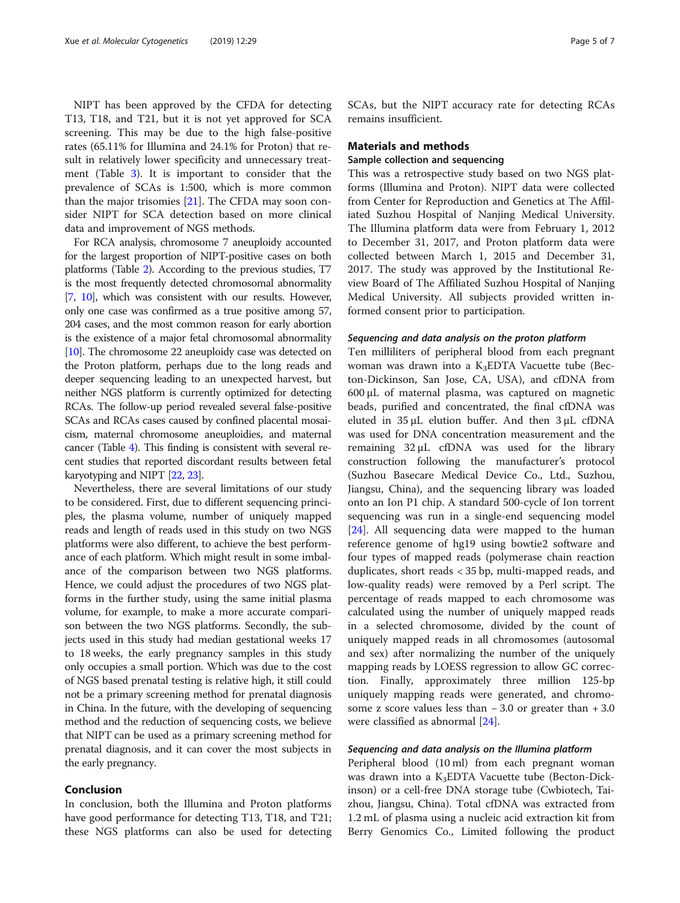NIPT has been approved by the CFDA for detecting T13, T18, and T21, but it is not yet approved for SCA screening. This may be due to the high false-positive rates (65.11% for Illumina and 24.1% for Proton) that result in relatively lower specificity and unnecessary treatment (Table [3\)](#page-3-0). It is important to consider that the prevalence of SCAs is 1:500, which is more common than the major trisomies  $[21]$  $[21]$ . The CFDA may soon consider NIPT for SCA detection based on more clinical data and improvement of NGS methods.

For RCA analysis, chromosome 7 aneuploidy accounted for the largest proportion of NIPT-positive cases on both platforms (Table [2](#page-2-0)). According to the previous studies, T7 is the most frequently detected chromosomal abnormality [[7](#page-5-0), [10\]](#page-6-0), which was consistent with our results. However, only one case was confirmed as a true positive among 57, 204 cases, and the most common reason for early abortion is the existence of a major fetal chromosomal abnormality [[10](#page-6-0)]. The chromosome 22 aneuploidy case was detected on the Proton platform, perhaps due to the long reads and deeper sequencing leading to an unexpected harvest, but neither NGS platform is currently optimized for detecting RCAs. The follow-up period revealed several false-positive SCAs and RCAs cases caused by confined placental mosaicism, maternal chromosome aneuploidies, and maternal cancer (Table [4\)](#page-3-0). This finding is consistent with several recent studies that reported discordant results between fetal karyotyping and NIPT [\[22,](#page-6-0) [23\]](#page-6-0).

Nevertheless, there are several limitations of our study to be considered. First, due to different sequencing principles, the plasma volume, number of uniquely mapped reads and length of reads used in this study on two NGS platforms were also different, to achieve the best performance of each platform. Which might result in some imbalance of the comparison between two NGS platforms. Hence, we could adjust the procedures of two NGS platforms in the further study, using the same initial plasma volume, for example, to make a more accurate comparison between the two NGS platforms. Secondly, the subjects used in this study had median gestational weeks 17 to 18 weeks, the early pregnancy samples in this study only occupies a small portion. Which was due to the cost of NGS based prenatal testing is relative high, it still could not be a primary screening method for prenatal diagnosis in China. In the future, with the developing of sequencing method and the reduction of sequencing costs, we believe that NIPT can be used as a primary screening method for prenatal diagnosis, and it can cover the most subjects in the early pregnancy.

### Conclusion

In conclusion, both the Illumina and Proton platforms have good performance for detecting T13, T18, and T21; these NGS platforms can also be used for detecting SCAs, but the NIPT accuracy rate for detecting RCAs remains insufficient.

#### Materials and methods

## Sample collection and sequencing

This was a retrospective study based on two NGS platforms (Illumina and Proton). NIPT data were collected from Center for Reproduction and Genetics at The Affiliated Suzhou Hospital of Nanjing Medical University. The Illumina platform data were from February 1, 2012 to December 31, 2017, and Proton platform data were collected between March 1, 2015 and December 31, 2017. The study was approved by the Institutional Review Board of The Affiliated Suzhou Hospital of Nanjing Medical University. All subjects provided written informed consent prior to participation.

#### Sequencing and data analysis on the proton platform

Ten milliliters of peripheral blood from each pregnant woman was drawn into a  $K_3EDTA$  Vacuette tube (Becton-Dickinson, San Jose, CA, USA), and cfDNA from 600 μL of maternal plasma, was captured on magnetic beads, purified and concentrated, the final cfDNA was eluted in  $35 \mu$ L elution buffer. And then  $3 \mu$ L cfDNA was used for DNA concentration measurement and the remaining 32 μL cfDNA was used for the library construction following the manufacturer's protocol (Suzhou Basecare Medical Device Co., Ltd., Suzhou, Jiangsu, China), and the sequencing library was loaded onto an Ion P1 chip. A standard 500-cycle of Ion torrent sequencing was run in a single-end sequencing model [[24\]](#page-6-0). All sequencing data were mapped to the human reference genome of hg19 using bowtie2 software and four types of mapped reads (polymerase chain reaction duplicates, short reads < 35 bp, multi-mapped reads, and low-quality reads) were removed by a Perl script. The percentage of reads mapped to each chromosome was calculated using the number of uniquely mapped reads in a selected chromosome, divided by the count of uniquely mapped reads in all chromosomes (autosomal and sex) after normalizing the number of the uniquely mapping reads by LOESS regression to allow GC correction. Finally, approximately three million 125-bp uniquely mapping reads were generated, and chromosome z score values less than − 3.0 or greater than + 3.0 were classified as abnormal [[24\]](#page-6-0).

#### Sequencing and data analysis on the Illumina platform

Peripheral blood (10 ml) from each pregnant woman was drawn into a K<sub>3</sub>EDTA Vacuette tube (Becton-Dickinson) or a cell-free DNA storage tube (Cwbiotech, Taizhou, Jiangsu, China). Total cfDNA was extracted from 1.2 mL of plasma using a nucleic acid extraction kit from Berry Genomics Co., Limited following the product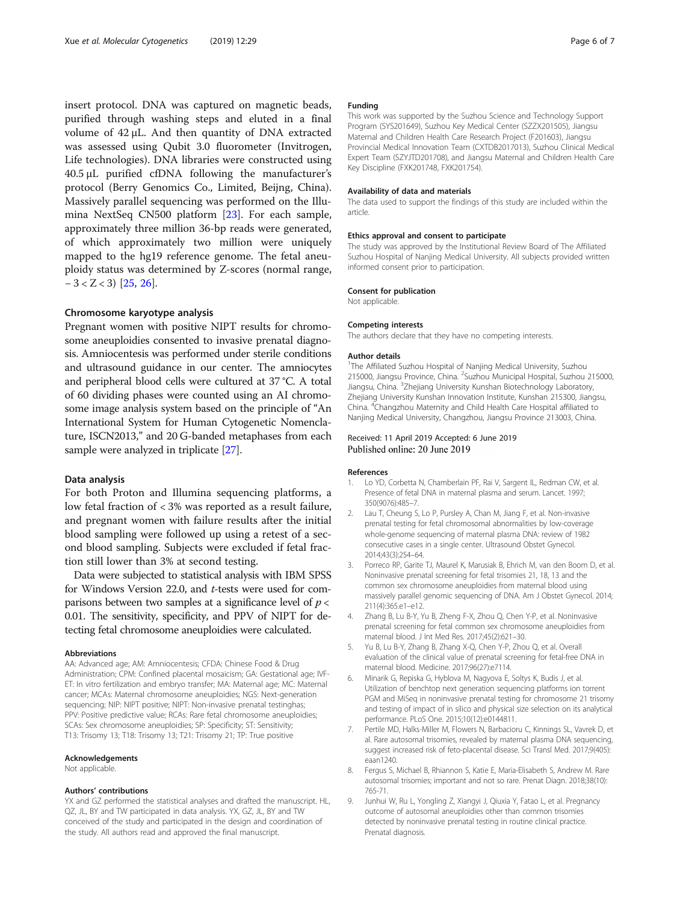<span id="page-5-0"></span>insert protocol. DNA was captured on magnetic beads, purified through washing steps and eluted in a final volume of 42 μL. And then quantity of DNA extracted was assessed using Qubit 3.0 fluorometer (Invitrogen, Life technologies). DNA libraries were constructed using 40.5 μL purified cfDNA following the manufacturer's protocol (Berry Genomics Co., Limited, Beijng, China). Massively parallel sequencing was performed on the Illumina NextSeq CN500 platform [[23\]](#page-6-0). For each sample, approximately three million 36-bp reads were generated, of which approximately two million were uniquely mapped to the hg19 reference genome. The fetal aneuploidy status was determined by Z-scores (normal range,  $-3 < Z < 3$  [[25,](#page-6-0) [26\]](#page-6-0).

#### Chromosome karyotype analysis

Pregnant women with positive NIPT results for chromosome aneuploidies consented to invasive prenatal diagnosis. Amniocentesis was performed under sterile conditions and ultrasound guidance in our center. The amniocytes and peripheral blood cells were cultured at 37 °C. A total of 60 dividing phases were counted using an AI chromosome image analysis system based on the principle of "An International System for Human Cytogenetic Nomenclature, ISCN2013," and 20 G-banded metaphases from each sample were analyzed in triplicate [\[27\]](#page-6-0).

#### Data analysis

For both Proton and Illumina sequencing platforms, a low fetal fraction of < 3% was reported as a result failure, and pregnant women with failure results after the initial blood sampling were followed up using a retest of a second blood sampling. Subjects were excluded if fetal fraction still lower than 3% at second testing.

Data were subjected to statistical analysis with IBM SPSS for Windows Version 22.0, and t-tests were used for comparisons between two samples at a significance level of  $p <$ 0.01. The sensitivity, specificity, and PPV of NIPT for detecting fetal chromosome aneuploidies were calculated.

#### Abbreviations

AA: Advanced age; AM: Amniocentesis; CFDA: Chinese Food & Drug Administration; CPM: Confined placental mosaicism; GA: Gestational age; IVF-ET: In vitro fertilization and embryo transfer; MA: Maternal age; MC: Maternal cancer; MCAs: Maternal chromosome aneuploidies; NGS: Next-generation sequencing: NIP: NIPT positive: NIPT: Non-invasive prenatal testinghas: PPV: Positive predictive value; RCAs: Rare fetal chromosome aneuploidies; SCAs: Sex chromosome aneuploidies; SP: Specificity; ST: Sensitivity; T13: Trisomy 13; T18: Trisomy 13; T21: Trisomy 21; TP: True positive

#### Acknowledgements

Not applicable.

#### Authors' contributions

YX and GZ performed the statistical analyses and drafted the manuscript. HL, QZ, JL, BY and TW participated in data analysis. YX, GZ, JL, BY and TW conceived of the study and participated in the design and coordination of the study. All authors read and approved the final manuscript.

#### Funding

This work was supported by the Suzhou Science and Technology Support Program (SYS201649), Suzhou Key Medical Center (SZZX201505), Jiangsu Maternal and Children Health Care Research Project (F201603), Jiangsu Provincial Medical Innovation Team (CXTDB2017013), Suzhou Clinical Medical Expert Team (SZYJTD201708), and Jiangsu Maternal and Children Health Care Key Discipline (FXK201748, FXK201754).

#### Availability of data and materials

The data used to support the findings of this study are included within the article.

#### Ethics approval and consent to participate

The study was approved by the Institutional Review Board of The Affiliated Suzhou Hospital of Nanjing Medical University. All subjects provided written informed consent prior to participation.

#### Consent for publication

Not applicable.

#### Competing interests

The authors declare that they have no competing interests.

#### Author details

<sup>1</sup>The Affiliated Suzhou Hospital of Nanjing Medical University, Suzhou 215000, Jiangsu Province, China. <sup>2</sup>Suzhou Municipal Hospital, Suzhou 215000 Jiangsu, China. <sup>3</sup>Zhejiang University Kunshan Biotechnology Laboratory, Zhejiang University Kunshan Innovation Institute, Kunshan 215300, Jiangsu, China. <sup>4</sup>Changzhou Maternity and Child Health Care Hospital affiliated to Nanjing Medical University, Changzhou, Jiangsu Province 213003, China.

#### Received: 11 April 2019 Accepted: 6 June 2019 Published online: 20 June 2019

#### References

- 1. Lo YD, Corbetta N, Chamberlain PF, Rai V, Sargent IL, Redman CW, et al. Presence of fetal DNA in maternal plasma and serum. Lancet. 1997; 350(9076):485–7.
- 2. Lau T, Cheung S, Lo P, Pursley A, Chan M, Jiang F, et al. Non-invasive prenatal testing for fetal chromosomal abnormalities by low-coverage whole-genome sequencing of maternal plasma DNA: review of 1982 consecutive cases in a single center. Ultrasound Obstet Gynecol. 2014;43(3):254–64.
- 3. Porreco RP, Garite TJ, Maurel K, Marusiak B, Ehrich M, van den Boom D, et al. Noninvasive prenatal screening for fetal trisomies 21, 18, 13 and the common sex chromosome aneuploidies from maternal blood using massively parallel genomic sequencing of DNA. Am J Obstet Gynecol. 2014; 211(4):365.e1–e12.
- 4. Zhang B, Lu B-Y, Yu B, Zheng F-X, Zhou Q, Chen Y-P, et al. Noninvasive prenatal screening for fetal common sex chromosome aneuploidies from maternal blood. J Int Med Res. 2017;45(2):621–30.
- 5. Yu B, Lu B-Y, Zhang B, Zhang X-Q, Chen Y-P, Zhou Q, et al. Overall evaluation of the clinical value of prenatal screening for fetal-free DNA in maternal blood. Medicine. 2017;96(27):e7114.
- 6. Minarik G, Repiska G, Hyblova M, Nagyova E, Soltys K, Budis J, et al. Utilization of benchtop next generation sequencing platforms ion torrent PGM and MiSeq in noninvasive prenatal testing for chromosome 21 trisomy and testing of impact of in silico and physical size selection on its analytical performance. PLoS One. 2015;10(12):e0144811.
- 7. Pertile MD, Halks-Miller M, Flowers N, Barbacioru C, Kinnings SL, Vavrek D, et al. Rare autosomal trisomies, revealed by maternal plasma DNA sequencing, suggest increased risk of feto-placental disease. Sci Transl Med. 2017;9(405): eaan1240.
- 8. Fergus S, Michael B, Rhiannon S, Katie E, Maria-Elisabeth S, Andrew M. Rare autosomal trisomies; important and not so rare. Prenat Diagn. 2018;38(10): 765-71.
- 9. Junhui W, Ru L, Yongling Z, Xiangyi J, Qiuxia Y, Fatao L, et al. Pregnancy outcome of autosomal aneuploidies other than common trisomies detected by noninvasive prenatal testing in routine clinical practice. Prenatal diagnosis.